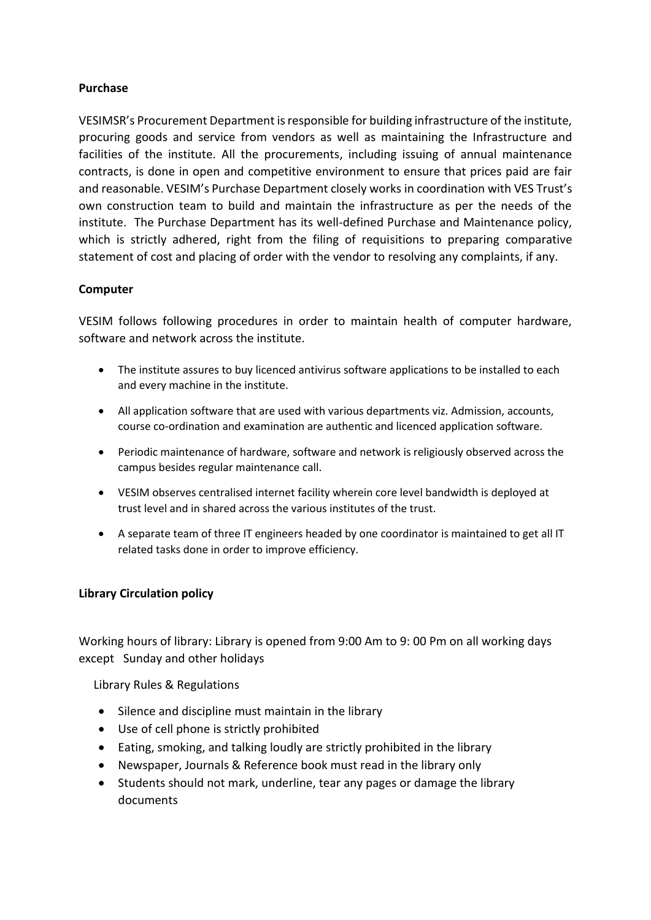### **Purchase**

VESIMSR's Procurement Department is responsible for building infrastructure of the institute, procuring goods and service from vendors as well as maintaining the Infrastructure and facilities of the institute. All the procurements, including issuing of annual maintenance contracts, is done in open and competitive environment to ensure that prices paid are fair and reasonable. VESIM's Purchase Department closely works in coordination with VES Trust's own construction team to build and maintain the infrastructure as per the needs of the institute. The Purchase Department has its well-defined Purchase and Maintenance policy, which is strictly adhered, right from the filing of requisitions to preparing comparative statement of cost and placing of order with the vendor to resolving any complaints, if any.

# **Computer**

VESIM follows following procedures in order to maintain health of computer hardware, software and network across the institute.

- The institute assures to buy licenced antivirus software applications to be installed to each and every machine in the institute.
- All application software that are used with various departments viz. Admission, accounts, course co-ordination and examination are authentic and licenced application software.
- Periodic maintenance of hardware, software and network is religiously observed across the campus besides regular maintenance call.
- VESIM observes centralised internet facility wherein core level bandwidth is deployed at trust level and in shared across the various institutes of the trust.
- A separate team of three IT engineers headed by one coordinator is maintained to get all IT related tasks done in order to improve efficiency.

#### **Library Circulation policy**

Working hours of library: Library is opened from 9:00 Am to 9: 00 Pm on all working days except Sunday and other holidays

Library Rules & Regulations

- Silence and discipline must maintain in the library
- Use of cell phone is strictly prohibited
- Eating, smoking, and talking loudly are strictly prohibited in the library
- Newspaper, Journals & Reference book must read in the library only
- Students should not mark, underline, tear any pages or damage the library documents